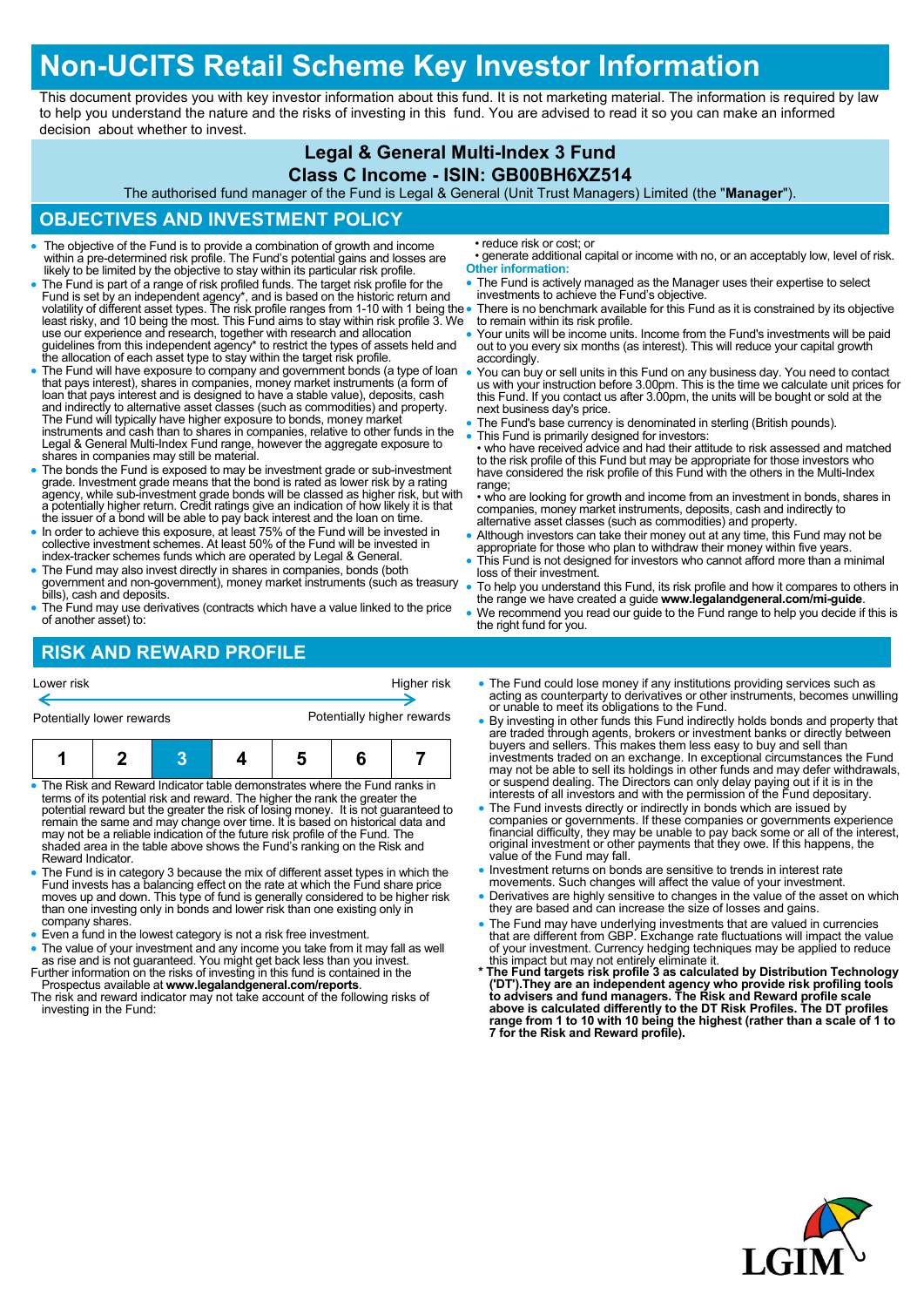# **Non-UCITS Retail Scheme Key Investor Information**

This document provides you with key investor information about this fund. It is not marketing material. The information is required by law to help you understand the nature and the risks of investing in this fund. You are advised to read it so you can make an informed decision about whether to invest.

### **Legal & General Multi-Index 3 Fund**

#### **Class C Income - ISIN: GB00BH6XZ514**

The authorised fund manager of the Fund is Legal & General (Unit Trust Managers) Limited (the "**Manager**").

### **OBJECTIVES AND INVESTMENT POLICY**

- The objective of the Fund is to provide a combination of growth and income within a pre-determined risk profile. The Fund's potential gains and losses are likely to be limited by the objective to stay within its particular risk profile.
- The Fund is part of a range of risk profiled funds. The target risk profile for the Fund is set by an independent agency\*, and is based on the historic return and<br>volatility of different asset types. The risk profile ranges from 1-10 with 1 being the<br>least risky, and 10 being the most. This Fund aims to s use our experience and research, together with research and allocation guidelines from this independent agency\* to restrict the types of assets held and the allocation of each asset type to stay within the target risk profile.
- The Fund will have exposure to company and government bonds (a type of loan that pays interest), shares in companies, money market instruments (a form of loan that pays interest and is designed to have a stable value), deposits, cash and indirectly to alternative asset classes (such as commodities) and property.<br>The Fund will typically have higher exposure to bonds, money market<br>instruments and cash than to shares in companies, relative to other funds Legal & General Multi-Index Fund range, however the aggregate exposure to shares in companies may still be material.
- The bonds the Fund is exposed to may be investment grade or sub-investment grade. Investment grade means that the bond is rated as lower risk by a rating agency, while sub-investment grade bonds will be classed as higher risk, but with a potentially higher return. Credit ratings give an indication of how likely it is that the issuer of a bond will be able to pay back interest and the loan on time.
- In order to achieve this exposure, at least 75% of the Fund will be invested in collective investment schemes. At least 50% of the Fund will be invested in index-tracker schemes funds which are operated by Legal & General.
- The Fund may also invest directly in shares in companies, bonds (both government and non-government), money market instruments (such as treasury bills), cash and deposits.
- The Fund may use derivatives (contracts which have a value linked to the price of another asset) to:

• reduce risk or cost; or

- generate additional capital or income with no, or an acceptably low, level of risk. **Other information:**
- The Fund is actively managed as the Manager uses their expertise to select investments to achieve the Fund's objective.
- There is no benchmark available for this Fund as it is constrained by its objective to remain within its risk profile.
- Your units will be income units. Income from the Fund's investments will be paid out to you every six months (as interest). This will reduce your capital growth accordingly.
- You can buy or sell units in this Fund on any business day. You need to contact us with your instruction before 3.00pm. This is the time we calculate unit prices for this Fund. If you contact us after 3.00pm, the units will be bought or sold at the next business day's price.
- The Fund's base currency is denominated in sterling (British pounds).
- This Fund is primarily designed for investors: • who have received advice and had their attitude to risk assessed and matched to the risk profile of this Fund but may be appropriate for those investors who have considered the risk profile of this Fund with the others in the Multi-Index range;
- who are looking for growth and income from an investment in bonds, shares in companies, money market instruments, deposits, cash and indirectly to alternative asset classes (such as commodities) and property.
- Although investors can take their money out at any time, this Fund may not be appropriate for those who plan to withdraw their money within five years.
- This Fund is not designed for investors who cannot afford more than a minimal loss of their investment.
- To help you understand this Fund, its risk profile and how it compares to others in the range we have created a guide **www.legalandgeneral.com/mi-guide**.
- We recommend you read our guide to the Fund range to help you decide if this is the right fund for you.

## **RISK AND REWARD PROFILE**

| Higher risk<br>Lower risk<br>Potentially higher rewards<br>Potentially lower rewards                                                                                                                                                                                                                                               |  |  |                                                                                                                                                           |  |  |                                                                                    | • The Fund could lose money if any institutions providing services such as<br>acting as counterparty to derivatives or other instruments, becomes unwilling<br>or unable to meet its obligations to the Fund.<br>• By investing in other funds this Fund indirectly holds bonds and property that                                                                                                                                                                                                                                                     |  |  |
|------------------------------------------------------------------------------------------------------------------------------------------------------------------------------------------------------------------------------------------------------------------------------------------------------------------------------------|--|--|-----------------------------------------------------------------------------------------------------------------------------------------------------------|--|--|------------------------------------------------------------------------------------|-------------------------------------------------------------------------------------------------------------------------------------------------------------------------------------------------------------------------------------------------------------------------------------------------------------------------------------------------------------------------------------------------------------------------------------------------------------------------------------------------------------------------------------------------------|--|--|
|                                                                                                                                                                                                                                                                                                                                    |  |  | • The Risk and Reward Indicator table demonstrates where the Fund ranks in<br>terms of its potential risk and reward. The higher the rank the greater the |  |  | potential reward but the greater the risk of losing money. It is not guaranteed to | are traded through agents, brokers or investment banks or directly between<br>buyers and sellers. This makes them less easy to buy and sell than<br>investments traded on an exchange. In exceptional circumstances the Fund<br>may not be able to sell its holdings in other funds and may defer withdrawals,<br>or suspend dealing. The Directors can only delay paying out if it is in the<br>interests of all investors and with the permission of the Fund depositary.<br>• The Fund invests directly or indirectly in bonds which are issued by |  |  |
| remain the same and may change over time. It is based on historical data and<br>may not be a reliable indication of the future risk profile of the Fund. The<br>shaded area in the table above shows the Fund's ranking on the Risk and<br>Reward Indicator.                                                                       |  |  |                                                                                                                                                           |  |  |                                                                                    | companies or governments. If these companies or governments experience<br>financial difficulty, they may be unable to pay back some or all of the interest,<br>original investment or other payments that they owe. If this happens, the<br>value of the Fund may fall.                                                                                                                                                                                                                                                                               |  |  |
| • The Fund is in category 3 because the mix of different asset types in which the<br>Fund invests has a balancing effect on the rate at which the Fund share price<br>moves up and down. This type of fund is generally considered to be higher risk<br>than ano invooting only in bonds and lower right than ano ovioting only in |  |  |                                                                                                                                                           |  |  |                                                                                    | • Investment returns on bonds are sensitive to trends in interest rate<br>movements. Such changes will affect the value of your investment.<br>• Derivatives are highly sensitive to changes in the value of the asset on which<br>they are has and can increase the size of losses and gains                                                                                                                                                                                                                                                         |  |  |

- han one investing only in bonds and lower risk than one existing only in company shares.
- Even a fund in the lowest category is not a risk free investment.
- The value of your investment and any income you take from it may fall as well as rise and is not guaranteed. You might get back less than you invest. Further information on the risks of investing in this fund is contained in the
- Prospectus available at **www.legalandgeneral.com/reports**. The risk and reward indicator may not take account of the following risks of investing in the Fund:
- they are based and can increase the size of losses and gains.
- The Fund may have underlying investments that are valued in currencies that are different from GBP. Exchange rate fluctuations will impact the value of your investment. Currency hedging techniques may be applied to reduce
- this impact but may not entirely eliminate it. **\* The Fund targets risk profile 3 as calculated by Distribution Technology**  ('DT').They are an independent agency who provide risk profiling tools<br>to advisers and fund managers. The Risk and Reward profile scale<br>above is calculated differently to the DT Risk Profiles. The DT profiles **range from 1 to 10 with 10 being the highest (rather than a scale of 1 to 7 for the Risk and Reward profile).**